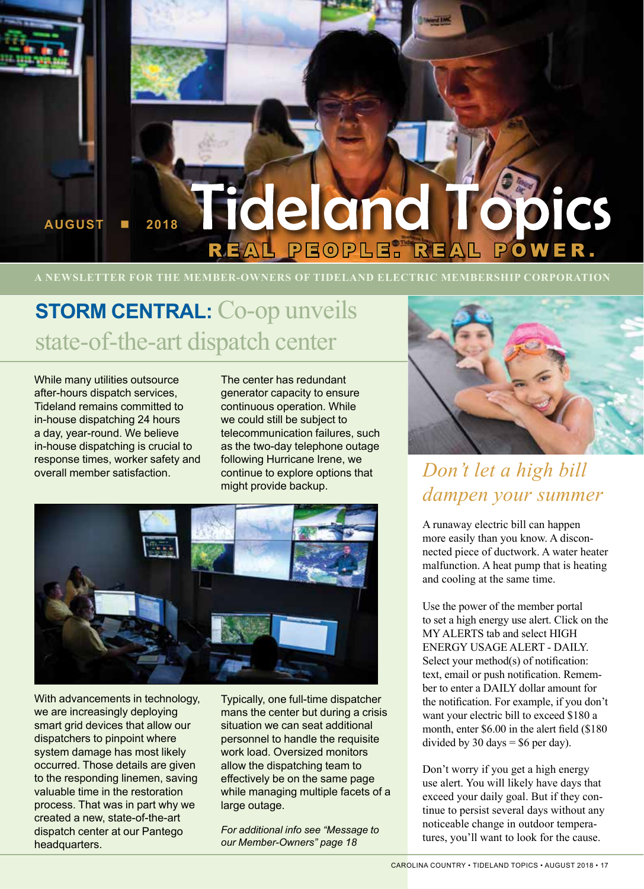

**A NEWSLETTER FOR THE MEMBER-OWNERS OF TIDELAND ELECTRIC MEMBERSHIP CORPORATION**

# **STORM CENTRAL:** Co-op unveils state-of-the-art dispatch center

While many utilities outsource after-hours dispatch services, Tideland remains committed to in-house dispatching 24 hours a day, year-round. We believe in-house dispatching is crucial to response times, worker safety and overall member satisfaction.

The center has redundant generator capacity to ensure continuous operation. While we could still be subject to telecommunication failures, such as the two-day telephone outage following Hurricane Irene, we continue to explore options that might provide backup.



With advancements in technology, we are increasingly deploying smart grid devices that allow our dispatchers to pinpoint where system damage has most likely occurred. Those details are given to the responding linemen, saving valuable time in the restoration process. That was in part why we created a new, state-of-the-art dispatch center at our Pantego headquarters.

Typically, one full-time dispatcher mans the center but during a crisis situation we can seat additional personnel to handle the requisite work load. Oversized monitors allow the dispatching team to effectively be on the same page while managing multiple facets of a large outage.

*For additional info see "Message to our Member-Owners" page 18*



### *Don't let a high bill dampen your summer*

A runaway electric bill can happen more easily than you know. A disconnected piece of ductwork. A water heater malfunction. A heat pump that is heating and cooling at the same time.

Use the power of the member portal to set a high energy use alert. Click on the MY ALERTS tab and select HIGH ENERGY USAGE ALERT - DAILY. Select your method(s) of notification: text, email or push notification. Remember to enter a DAILY dollar amount for the notification. For example, if you don't want your electric bill to exceed \$180 a month, enter \$6.00 in the alert field (\$180 divided by 30 days =  $$6$  per day).

Don't worry if you get a high energy use alert. You will likely have days that exceed your daily goal. But if they continue to persist several days without any noticeable change in outdoor temperatures, you'll want to look for the cause.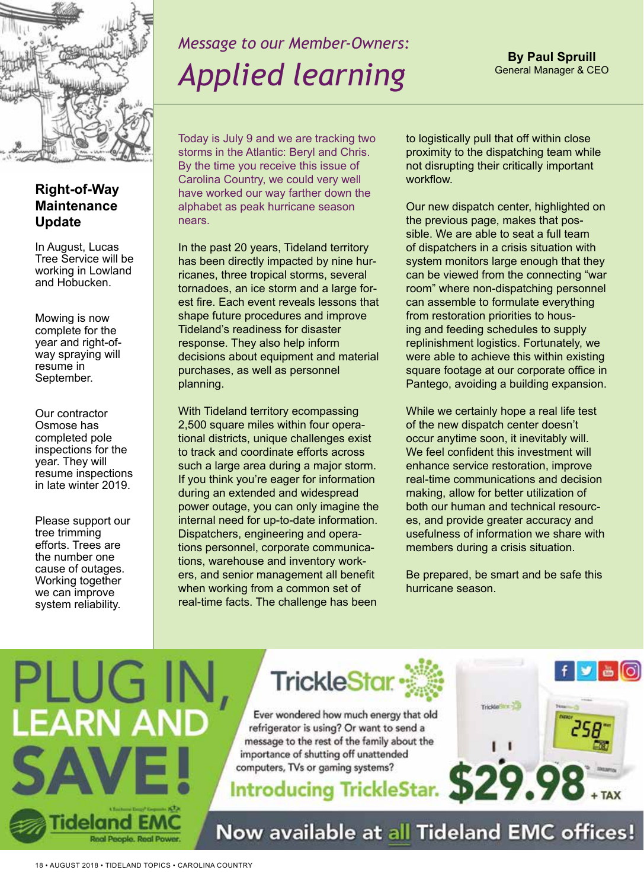

# *Message to our Member-Owners: Applied learning*

**By Paul Spruill** General Manager & CEO

### **Right-of-Way Maintenance Update**

In August, Lucas Tree Service will be working in Lowland and Hobucken.

Mowing is now complete for the year and right-ofway spraying will resume in September.

Our contractor Osmose has completed pole inspections for the year. They will resume inspections in late winter 2019.

Please support our tree trimming efforts. Trees are the number one cause of outages. Working together we can improve system reliability.

Today is July 9 and we are tracking two storms in the Atlantic: Beryl and Chris. By the time you receive this issue of Carolina Country, we could very well have worked our way farther down the alphabet as peak hurricane season nears.

In the past 20 years, Tideland territory has been directly impacted by nine hurricanes, three tropical storms, several tornadoes, an ice storm and a large forest fire. Each event reveals lessons that shape future procedures and improve Tideland's readiness for disaster response. They also help inform decisions about equipment and material purchases, as well as personnel planning.

With Tideland territory ecompassing 2,500 square miles within four operational districts, unique challenges exist to track and coordinate efforts across such a large area during a major storm. If you think you're eager for information during an extended and widespread power outage, you can only imagine the internal need for up-to-date information. Dispatchers, engineering and operations personnel, corporate communications, warehouse and inventory workers, and senior management all benefit when working from a common set of real-time facts. The challenge has been

to logistically pull that off within close proximity to the dispatching team while not disrupting their critically important workflow.

Our new dispatch center, highlighted on the previous page, makes that possible. We are able to seat a full team of dispatchers in a crisis situation with system monitors large enough that they can be viewed from the connecting "war room" where non-dispatching personnel can assemble to formulate everything from restoration priorities to housing and feeding schedules to supply replinishment logistics. Fortunately, we were able to achieve this within existing square footage at our corporate office in Pantego, avoiding a building expansion.

While we certainly hope a real life test of the new dispatch center doesn't occur anytime soon, it inevitably will. We feel confident this investment will enhance service restoration, improve real-time communications and decision making, allow for better utilization of both our human and technical resources, and provide greater accuracy and usefulness of information we share with members during a crisis situation.

Be prepared, be smart and be safe this hurricane season.





Ever wondered how much energy that old refrigerator is using? Or want to send a message to the rest of the family about the importance of shutting off unattended computers, TVs or gaming systems?

 $f \times B$ Trickle<sup>r</sup>ene and

Now available at all Tideland EMC offices!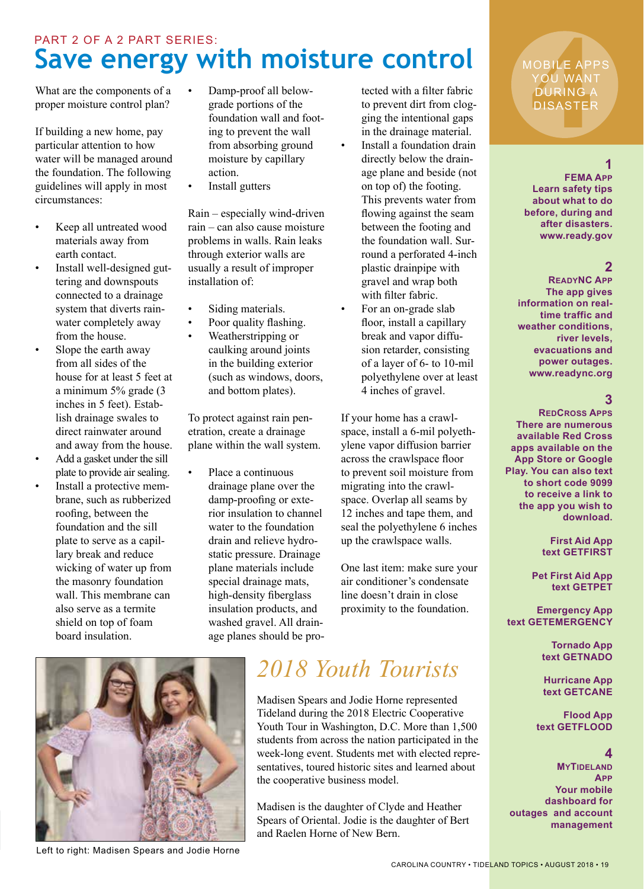### **Save energy with moisture control**  PART 2 OF A 2 PART SERIES:

What are the components of a proper moisture control plan?

If building a new home, pay particular attention to how water will be managed around the foundation. The following guidelines will apply in most circumstances:

- Keep all untreated wood materials away from earth contact.
- Install well-designed guttering and downspouts connected to a drainage system that diverts rainwater completely away from the house.
- Slope the earth away from all sides of the house for at least 5 feet at a minimum 5% grade (3 inches in 5 feet). Establish drainage swales to direct rainwater around and away from the house.
- Add a gasket under the sill plate to provide air sealing.
- Install a protective membrane, such as rubberized roofing, between the foundation and the sill plate to serve as a capillary break and reduce wicking of water up from the masonry foundation wall. This membrane can also serve as a termite shield on top of foam board insulation.
- Damp-proof all belowgrade portions of the foundation wall and footing to prevent the wall from absorbing ground moisture by capillary action.
- Install gutters

Rain – especially wind-driven rain – can also cause moisture problems in walls. Rain leaks through exterior walls are usually a result of improper installation of:

- Siding materials.
- Poor quality flashing.
	- Weatherstripping or caulking around joints in the building exterior (such as windows, doors, and bottom plates).

To protect against rain penetration, create a drainage plane within the wall system.

Place a continuous drainage plane over the damp-proofing or exterior insulation to channel water to the foundation drain and relieve hydrostatic pressure. Drainage plane materials include special drainage mats, high-density fiberglass insulation products, and washed gravel. All drainage planes should be pro-

tected with a filter fabric to prevent dirt from clogging the intentional gaps in the drainage material. Install a foundation drain directly below the drainage plane and beside (not on top of) the footing. This prevents water from flowing against the seam between the footing and the foundation wall. Surround a perforated 4-inch plastic drainpipe with gravel and wrap both with filter fabric.

For an on-grade slab floor, install a capillary break and vapor diffusion retarder, consisting of a layer of 6- to 10-mil polyethylene over at least 4 inches of gravel.

If your home has a crawlspace, install a 6-mil polyethylene vapor diffusion barrier across the crawlspace floor to prevent soil moisture from migrating into the crawlspace. Overlap all seams by 12 inches and tape them, and seal the polyethylene 6 inches up the crawlspace walls.

One last item: make sure your air conditioner's condensate line doesn't drain in close proximity to the foundation.



Left to right: Madisen Spears and Jodie Horne

## *2018 Youth Tourists*

Madisen Spears and Jodie Horne represented Tideland during the 2018 Electric Cooperative Youth Tour in Washington, D.C. More than 1,500 students from across the nation participated in the week-long event. Students met with elected representatives, toured historic sites and learned about the cooperative business model.

Madisen is the daughter of Clyde and Heather Spears of Oriental. Jodie is the daughter of Bert and Raelen Horne of New Bern.

**44 ADDREE APP**<br> **44 ADDREE ADDREE**<br> **44 ADDREE ADDREE ADDREE** MOBILE APPS YOU WANT DURING A DISASTER

#### **1**

**FEMA App Learn safety tips about what to do before, during and after disasters. www.ready.gov**

### **2**

**ReadyNC App The app gives information on realtime traffic and weather conditions, river levels, evacuations and power outages. www.readync.org**

### **3**

**RedCross Apps There are numerous available Red Cross apps available on the App Store or Google Play. You can also text to short code 9099 to receive a link to the app you wish to download.**

#### **First Aid App text GETFIRST**

**Pet First Aid App text GETPET**

**Emergency App text GETEMERGENCY**

> **Tornado App text GETNADO**

**Hurricane App text GETCANE**

 **Flood App text GETFLOOD**

#### **4**

**MYTIDELAND App Your mobile dashboard for outages and account management**